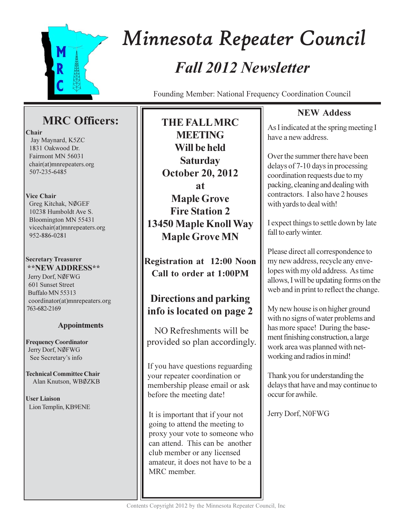

# Minnesota Repeater Council **Fall 2012 Newsletter**

Founding Member: National Frequency Coordination Council

# **MRC** Officers:

#### Chair

Jay Maynard, K5ZC 1831 Oakwood Dr. Fairmont MN 56031 chair(at)mnrepeaters.org 507-235-6485

### **Vice Chair**

Greg Kitchak, NØGEF 10238 Humboldt Ave S. Bloomington MN 55431 vicechair(at)mnrepeaters.org 952-886-0281

#### **Secretary Treasurer \*\*NEW ADDRESS\*\***

Jerry Dorf, NØFWG 601 Sunset Street Buffalo MN 55313 coordinator(at)mnrepeaters.org 763-682-2169

## **Appointments**

**Frequency Coordinator** Jerry Dorf, NØFWG See Secretary's info

**Technical Committee Chair** Alan Knutson, WBØZKB

**User Liaison** Lion Templin, KB9ENE

**THE FALL MRC MEETING** Will be held **Saturday October 20, 2012**  $a<sup>t</sup>$ **Maple Grove Fire Station 2** 13450 Maple Knoll Way **Maple Grove MN** 

**Registration at 12:00 Noon** Call to order at 1:00PM

# Directions and parking info is located on page 2

NO Refreshments will be provided so plan accordingly.

If you have questions reguarding your repeater coordination or membership please email or ask before the meeting date!

It is important that if your not going to attend the meeting to proxy your vote to someone who can attend. This can be another club member or any licensed amateur, it does not have to be a MRC member.

# **NEW Addess**

As I indicated at the spring meeting I have a new address.

Over the summer there have been delays of 7-10 days in processing coordination requests due to my packing, cleaning and dealing with contractors. Lalso have 2 houses with yards to deal with!

I expect things to settle down by late fall to early winter.

Please direct all correspondence to my new address, recycle any envelopes with my old address. As time allows, I will be updating forms on the web and in print to reflect the change.

My new house is on higher ground with no signs of water problems and has more space! During the basement finishing construction, a large work area was planned with networking and radios in mind!

Thank you for understanding the delays that have and may continue to occur for awhile.

Jerry Dorf, N0FWG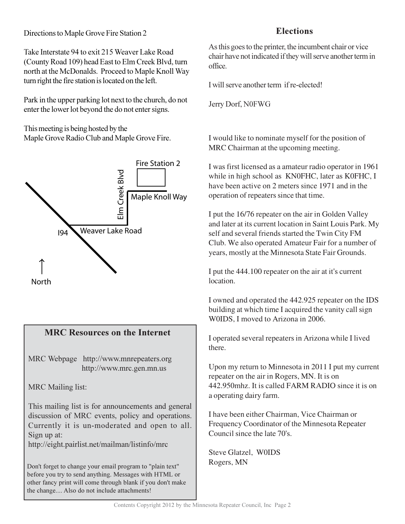## Directions to Maple Grove Fire Station 2

Take Interstate 94 to exit 215 Weaver Lake Road (County Road 109) head East to Elm Creek Blvd, turn north at the McDonalds. Proceed to Maple Knoll Way turn right the fire station is located on the left.

Park in the upper parking lot next to the church, do not enter the lower lot beyond the do not enter signs.

This meeting is being hosted by the Maple Grove Radio Club and Maple Grove Fire.



## **MRC Resources on the Internet**

MRC Webpage http://www.mnrepeaters.org http://www.mrc.gen.mn.us

**MRC** Mailing list:

This mailing list is for announcements and general discussion of MRC events, policy and operations. Currently it is un-moderated and open to all. Sign up at:

http://eight.pairlist.net/mailman/listinfo/mrc

Don't forget to change your email program to "plain text" before you try to send anything. Messages with HTML or other fancy print will come through blank if you don't make the change.... Also do not include attachments!

## **Elections**

As this goes to the printer, the incumbent chair or vice chair have not indicated if they will serve another term in office.

I will serve another term if re-elected!

Jerry Dorf, N0FWG

I would like to nominate myself for the position of MRC Chairman at the upcoming meeting.

I was first licensed as a amateur radio operator in 1961 while in high school as KN0FHC, later as K0FHC, I have been active on 2 meters since 1971 and in the operation of repeaters since that time.

I put the 16/76 repeater on the air in Golden Valley and later at its current location in Saint Louis Park. My self and several friends started the Twin City FM Club. We also operated Amateur Fair for a number of years, mostly at the Minnesota State Fair Grounds.

I put the 444.100 repeater on the air at it's current location.

I owned and operated the 442.925 repeater on the IDS building at which time I acquired the vanity call sign WOIDS. I moved to Arizona in 2006.

I operated several repeaters in Arizona while I lived there.

Upon my return to Minnesota in 2011 I put my current repeater on the air in Rogers, MN. It is on 442.950mhz. It is called FARM RADIO since it is on a operating dairy farm.

I have been either Chairman, Vice Chairman or Frequency Coordinator of the Minnesota Repeater Council since the late 70's.

Steve Glatzel, W0IDS Rogers, MN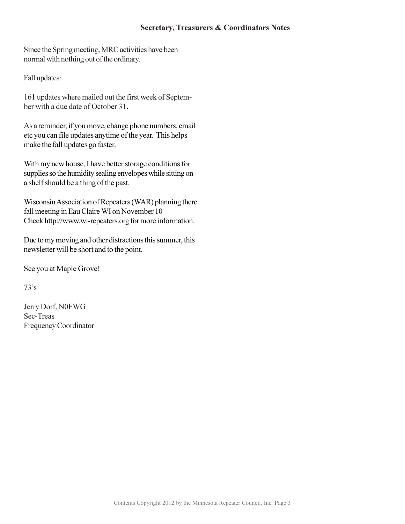#### **Secretary, Treasurers & Coordinators Notes**

Since the Spring meeting, MRC activities have been normal with nothing out of the ordinary.

Fall updates:

161 updates where mailed out the first week of September with a due date of October 31.

As a reminder, if you move, change phone numbers, email etc you can file updates anytime of the year. This helps make the fall updates go faster.

With my new house, I have better storage conditions for supplies so the humidity sealing envelopes while sitting on a shelf should be a thing of the past.

Wisconsin Association of Repeaters (WAR) planning there fall meeting in Eau Claire WI on November 10 Check http://www.wi-repeaters.org for more information.

Due to my moving and other distractions this summer, this newsletter will be short and to the point.

See you at Maple Grove!

 $73's$ 

Jerry Dorf, N0FWG Sec-Treas Frequency Coordinator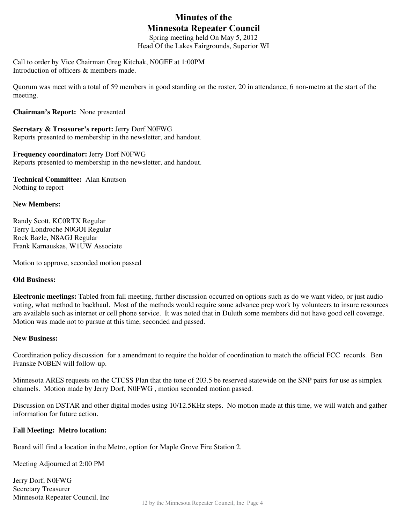# **Minutes of the Minnesota Repeater Council**

Spring meeting held On May 5, 2012 Head Of the Lakes Fairgrounds, Superior WI

Call to order by Vice Chairman Greg Kitchak, N0GEF at 1:00PM Introduction of officers & members made.

Quorum was meet with a total of 59 members in good standing on the roster, 20 in attendance, 6 non-metro at the start of the meeting.

**Chairman's Report:** None presented

**Secretary & Treasurer's report:** Jerry Dorf N0FWG Reports presented to membership in the newsletter, and handout.

**Frequency coordinator:** Jerry Dorf N0FWG Reports presented to membership in the newsletter, and handout.

**Technical Committee:** Alan Knutson Nothing to report

#### **New Members:**

Randy Scott, KC0RTX Regular Terry Londroche N0GOI Regular Rock Bazle, N8AGJ Regular Frank Karnauskas, W1UW Associate

Motion to approve, seconded motion passed

#### **Old Business:**

**Electronic meetings:** Tabled from fall meeting, further discussion occurred on options such as do we want video, or just audio voting, what method to backhaul. Most of the methods would require some advance prep work by volunteers to insure resources are available such as internet or cell phone service. It was noted that in Duluth some members did not have good cell coverage. Motion was made not to pursue at this time, seconded and passed.

#### **New Business:**

Coordination policy discussion for a amendment to require the holder of coordination to match the official FCC records. Ben Franske N0BEN will follow-up.

Minnesota ARES requests on the CTCSS Plan that the tone of 203.5 be reserved statewide on the SNP pairs for use as simplex channels. Motion made by Jerry Dorf, N0FWG , motion seconded motion passed.

Discussion on DSTAR and other digital modes using 10/12.5KHz steps. No motion made at this time, we will watch and gather information for future action.

#### **Fall Meeting: Metro location:**

Board will find a location in the Metro, option for Maple Grove Fire Station 2.

Meeting Adjourned at 2:00 PM

Jerry Dorf, N0FWG Secretary Treasurer Minnesota Repeater Council, Inc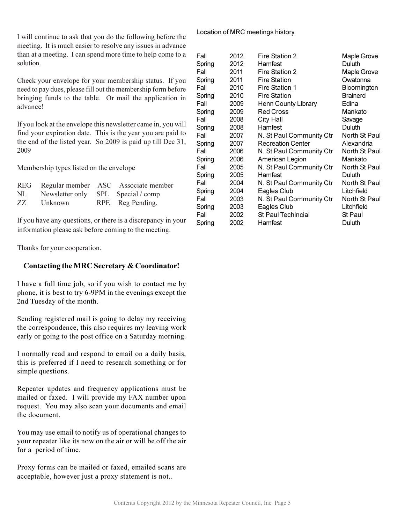I will continue to ask that you do the following before the meeting. It is much easier to resolve any issues in advance than at a meeting. I can spend more time to help come to a solution.

Check your envelope for your membership status. If you need to pay dues, please fill out the membership form before bringing funds to the table. Or mail the application in advance!

If you look at the envelope this newsletter came in, you will find your expiration date. This is the year you are paid to the end of the listed year. So 2009 is paid up till Dec 31, 2009

Membership types listed on the envelope

| REG |                                    | Regular member ASC Associate member |
|-----|------------------------------------|-------------------------------------|
| NL  | Newsletter only SPL Special / comp |                                     |
| ZZ. | Unknown                            | RPE Reg Pending.                    |

If you have any questions, or there is a discrepancy in your information please ask before coming to the meeting.

Thanks for your cooperation.

### Contacting the MRC Secretary & Coordinator!

I have a full time job, so if you wish to contact me by phone, it is best to try 6-9PM in the evenings except the 2nd Tuesday of the month.

Sending registered mail is going to delay my receiving the correspondence, this also requires my leaving work early or going to the post office on a Saturday morning.

I normally read and respond to email on a daily basis, this is preferred if I need to research something or for simple questions.

Repeater updates and frequency applications must be mailed or faxed. I will provide my FAX number upon request. You may also scan your documents and email the document.

You may use email to notify us of operational changes to your repeater like its now on the air or will be off the air for a period of time.

Proxy forms can be mailed or faxed, emailed scans are acceptable, however just a proxy statement is not..

#### Location of MRC meetings history

| Fall<br>Spring | 2012<br>2012 | Fire Station 2<br>Hamfest  | <b>Maple Grove</b><br>Duluth |
|----------------|--------------|----------------------------|------------------------------|
| Fall           | 2011         | Fire Station 2             | <b>Maple Grove</b>           |
| Spring         | 2011         | <b>Fire Station</b>        | Owatonna                     |
| Fall           | 2010         | Fire Station 1             | Bloomington                  |
| Spring         | 2010         | <b>Fire Station</b>        | <b>Brainerd</b>              |
| Fall           | 2009         | <b>Henn County Library</b> | Edina                        |
| Spring         | 2009         | <b>Red Cross</b>           | Mankato                      |
| Fall           | 2008         | <b>City Hall</b>           | Savage                       |
| Spring         | 2008         | Hamfest                    | Duluth                       |
| Fall           | 2007         | N. St Paul Community Ctr   | North St Paul                |
| Spring         | 2007         | <b>Recreation Center</b>   | Alexandria                   |
| Fall           | 2006         | N. St Paul Community Ctr   | North St Paul                |
| Spring         | 2006         | American Legion            | Mankato                      |
| Fall           | 2005         | N. St Paul Community Ctr   | North St Paul                |
| Spring         | 2005         | Hamfest                    | Duluth                       |
| Fall           | 2004         | N. St Paul Community Ctr   | North St Paul                |
| Spring         | 2004         | Eagles Club                | Litchfield                   |
| Fall           | 2003         | N. St Paul Community Ctr   | North St Paul                |
| Spring         | 2003         | Eagles Club                | Litchfield                   |
| Fall           | 2002         | <b>St Paul Techincial</b>  | St Paul                      |
| Spring         | 2002         | Hamfest                    | Duluth                       |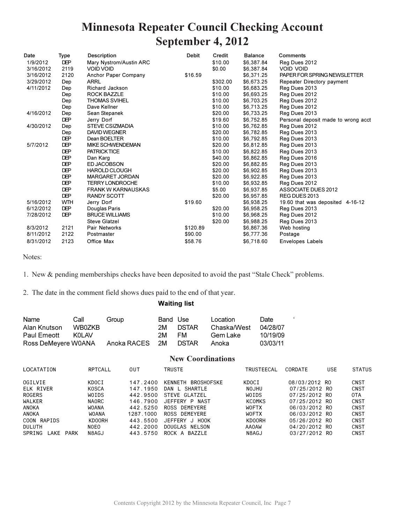# **Minnesota Repeater Council Checking Account** September 4, 2012

| Date      | Type       | <b>Description</b>        | <b>Debit</b> | Credit   | <b>Balance</b> | <b>Comments</b>                     |
|-----------|------------|---------------------------|--------------|----------|----------------|-------------------------------------|
| 1/9/2012  | <b>DEP</b> | Mary Nystrom/Austin ARC   |              | \$10.00  | \$6,387.84     | Reg Dues 2012                       |
| 3/16/2012 | 2119       | <b>VOID VOID</b>          |              | \$0.00   | \$6,387.84     | <b>VOID VOID</b>                    |
| 3/16/2012 | 2120       | Anchor Paper Company      | \$16.59      |          | \$6,371.25     | PAPER FOR SPRING NEWSLETTER         |
| 3/29/2012 | Dep        | <b>ARRL</b>               |              | \$302.00 | \$6,673.25     | Repeater Directory payment          |
| 4/11/2012 | Dep        | Richard Jackson           |              | \$10.00  | \$6,683.25     | Reg Dues 2013                       |
|           | Dep        | ROCK BAZZLE               |              | \$10.00  | \$6,693.25     | Reg Dues 2012                       |
|           | Dep        | <b>THOMAS SVIHEL</b>      |              | \$10.00  | \$6,703.25     | Reg Dues 2012                       |
|           | Dep        | Dave Kellner              |              | \$10.00  | \$6,713.25     | Reg Dues 2012                       |
| 4/16/2012 | Dep        | Sean Stepanek             |              | \$20.00  | \$6,733.25     | Reg Dues 2013                       |
|           | <b>DEP</b> | Jerry Dorf                |              | \$19.60  | \$6,752.85     | Personal deposit made to wrong acct |
| 4/30/2012 | Dep        | <b>STEVE CSIZMADIA</b>    |              | \$10.00  | \$6,762.85     | Reg Dues 2012                       |
|           | Dep        | <b>DAVID WEGNER</b>       |              | \$20.00  | \$6,782.85     | Reg Dues 2013                       |
|           | <b>DEP</b> | Dean BOELTER              |              | \$10.00  | \$6,792.85     | Reg Dues 2013                       |
| 5/7/2012  | <b>DEP</b> | <b>MIKE SCHWENDEMAN</b>   |              | \$20.00  | \$6,812.85     | Reg Dues 2013                       |
|           | <b>DEP</b> | <b>PATRICK TICE</b>       |              | \$10.00  | \$6,822.85     | Reg Dues 2013                       |
|           | <b>DEP</b> | Dan Karg                  |              | \$40.00  | \$6,862.85     | Reg Dues 2016                       |
|           | <b>DEP</b> | <b>ED JACOBSON</b>        |              | \$20.00  | \$6,882.85     | Reg Dues 2013                       |
|           | <b>DEP</b> | <b>HAROLD CLOUGH</b>      |              | \$20.00  | \$6,902.85     | Reg Dues 2013                       |
|           | <b>DEP</b> | <b>MARGARET JORDAN</b>    |              | \$20.00  | \$6,922.85     | Reg Dues 2013                       |
|           | <b>DEP</b> | <b>TERRY LONDROCHE</b>    |              | \$10.00  | \$6,932.85     | Reg Dues 2012                       |
|           | <b>DEP</b> | <b>FRANK W KARNAUSKAS</b> |              | \$5.00   | \$6,937.85     | <b>ASSOCIATE DUES 2012</b>          |
|           | <b>DEP</b> | <b>RANDY SCOTT</b>        |              | \$20.00  | \$6,957.85     | REG DUES 2013                       |
| 5/16/2012 | <b>WTH</b> | Jerry Dorf                | \$19.60      |          | \$6,938.25     | 19.60 that was deposited 4-16-12    |
| 6/12/2012 | <b>DEP</b> | Douglas Paris             |              | \$20.00  | \$6,958.25     | Reg Dues 2013                       |
| 7/28/2012 | <b>DEP</b> | <b>BRUCE WILLIAMS</b>     |              | \$10.00  | \$6,968.25     | Reg Dues 2012                       |
|           |            | Steve Glatzel             |              | \$20.00  | \$6,988.25     | Reg Dues 2013                       |
| 8/3/2012  | 2121       | Pair Networks             | \$120.89     |          | \$6,867.36     | Web hosting                         |
| 8/11/2012 | 2122       | Postmaster                | \$90.00      |          | \$6,777.36     | Postage                             |
| 8/31/2012 | 2123       | Office Max                | \$58.76      |          | \$6,718.60     | <b>Envelopes Labels</b>             |

Notes:

1. New & pending memberships checks have been deposited to avoid the past "Stale Check" problems.

2. The date in the comment field shows dues paid to the end of that year.

#### **Waiting list**

| Name                | Call   | Group          | Band Use |              | Location    | Date     |
|---------------------|--------|----------------|----------|--------------|-------------|----------|
| Alan Knutson        | WB0ZKB |                | 2M       | <b>DSTAR</b> | Chaska/West | 04/28/07 |
| Paul Emeott         | KOL AV |                | 2M       | FM.          | Gem Lake    | 10/19/09 |
| Ross DeMeyere W0ANA |        | Anoka RACES 2M |          | <b>DSTAR</b> | Anoka       | 03/03/11 |

#### **New Coordinations**

 $\epsilon$ 

| LOCATATION          | RPTCALL      | 0UT       | TRUSTE                | TRUSTEECAL    | CORDATE       | <b>USE</b> | <b>STATUS</b> |
|---------------------|--------------|-----------|-----------------------|---------------|---------------|------------|---------------|
| <b>OGILVIE</b>      | KDOCI        | 147.2400  | KENNETH<br>BROSHOFSKE | KDOCI         | 08/03/2012 RO |            | CNST          |
| ELK RIVER           | KOSCA        | 147.1950  | DAN L SHARTLE         | NOJHU         | 07/25/2012 RO |            | CNST          |
| <b>ROGERS</b>       | WOIDS        | 442.9500  | STEVE GLATZEL         | WOIDS         | 07/25/2012 RO |            | 0TA           |
| WALKER              | NAORC        | 146.7900  | JEFFERY P NAST        | <b>KCOMKS</b> | 07/25/2012 RO |            | CNST          |
| ANOKA               | <b>WOANA</b> | 442.5250  | ROSS DEMEYERE         | <b>WOFTX</b>  | 06/03/2012 RO |            | CNST          |
| ANOKA               | WOANA        | 1287.1000 | ROSS DEMEYERE         | WOFTX         | 06/03/2012 RO |            | CNST          |
| COON RAPIDS         | KD00RH       | 443.5500  | HOOK<br>JEFFERY J     | KD00RH        | 05/26/2012 RO |            | CNST          |
| <b>DULUTH</b>       | NOEO         | 442.2000  | DOUGLAS NELSON        | <b>AA0AW</b>  | 04/20/2012 RO |            | CNST          |
| SPRING<br>LAKE PARK | N8AGJ        | 443.5750  | ROCK A BAZZLE         | N8AGJ         | 03/27/2012 RO |            | <b>CNST</b>   |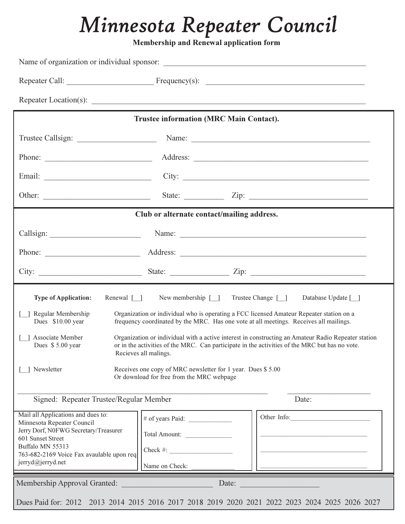# *Minnesota Repeater Council*

**Membership and Renewal application form** 

|                                                                                    | <b>Trustee information (MRC Main Contact).</b>                                                                                    |                                                                                                                                                                                                                                                                                                 |  |
|------------------------------------------------------------------------------------|-----------------------------------------------------------------------------------------------------------------------------------|-------------------------------------------------------------------------------------------------------------------------------------------------------------------------------------------------------------------------------------------------------------------------------------------------|--|
|                                                                                    |                                                                                                                                   |                                                                                                                                                                                                                                                                                                 |  |
|                                                                                    |                                                                                                                                   |                                                                                                                                                                                                                                                                                                 |  |
|                                                                                    |                                                                                                                                   |                                                                                                                                                                                                                                                                                                 |  |
|                                                                                    |                                                                                                                                   | State: $\angle$ Zip: $\angle$                                                                                                                                                                                                                                                                   |  |
|                                                                                    | Club or alternate contact/mailing address.                                                                                        |                                                                                                                                                                                                                                                                                                 |  |
|                                                                                    |                                                                                                                                   | Name: 2008. [2016] Name: 2008. [2016] Name: 2008. [2016] Name: 2008. [2016] Name: 2008. [2016] Name: 2008. [20                                                                                                                                                                                  |  |
|                                                                                    |                                                                                                                                   |                                                                                                                                                                                                                                                                                                 |  |
|                                                                                    |                                                                                                                                   |                                                                                                                                                                                                                                                                                                 |  |
| Dues \$10.00 year<br>Associate Member<br>Dues \$5.00 year<br>Newsletter            | Recieves all malings.<br>Receives one copy of MRC newsletter for 1 year. Dues \$5.00<br>Or download for free from the MRC webpage | frequency coordinated by the MRC. Has one vote at all meetings. Receives all mailings.<br>Organization or individual with a active interest in constructing an Amateur Radio Repeater station<br>or in the activities of the MRC. Can participate in the activities of the MRC but has no vote. |  |
| Signed: Repeater Trustee/Regular Member                                            |                                                                                                                                   | Date:                                                                                                                                                                                                                                                                                           |  |
| Mail all Applications and dues to:<br>Minnesota Repeater Council                   |                                                                                                                                   | Other Info:                                                                                                                                                                                                                                                                                     |  |
| Jerry Dorf, N0FWG Secretary/Treasurer<br>601 Sunset Street                         | Total Amount:                                                                                                                     |                                                                                                                                                                                                                                                                                                 |  |
| Buffalo MN 55313<br>763-682-2169 Voice Fax avaulable upon req<br>jerryd@jerryd.net | Check #: $\qquad \qquad$<br>Name on Check:                                                                                        |                                                                                                                                                                                                                                                                                                 |  |
|                                                                                    |                                                                                                                                   | Date:                                                                                                                                                                                                                                                                                           |  |
| Membership Approval Granted:                                                       |                                                                                                                                   |                                                                                                                                                                                                                                                                                                 |  |